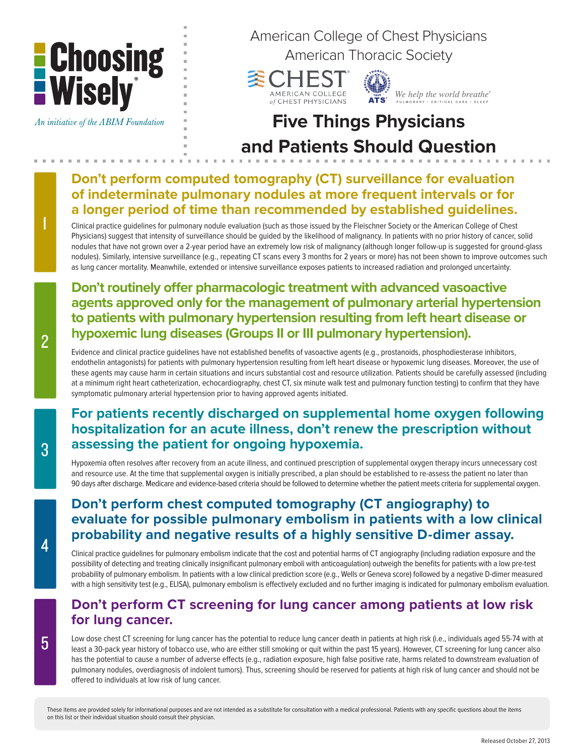

An initiative of the ABIM Foundation

American College of Chest Physicians

American Thoracic Society



We help the world breathe®

# **Five Things Physicians and Patients Should Question**

## **Don't perform computed tomography (CT) surveillance for evaluation of indeterminate pulmonary nodules at more frequent intervals or for a longer period of time than recommended by established guidelines.**

Clinical practice guidelines for pulmonary nodule evaluation (such as those issued by the Fleischner Society or the American College of Chest Physicians) suggest that intensity of surveillance should be guided by the likelihood of malignancy. In patients with no prior history of cancer, solid nodules that have not grown over a 2-year period have an extremely low risk of malignancy (although longer follow-up is suggested for ground-glass nodules). Similarly, intensive surveillance (e.g., repeating CT scans every 3 months for 2 years or more) has not been shown to improve outcomes such as lung cancer mortality. Meanwhile, extended or intensive surveillance exposes patients to increased radiation and prolonged uncertainty.

## **Don't routinely offer pharmacologic treatment with advanced vasoactive agents approved only for the management of pulmonary arterial hypertension to patients with pulmonary hypertension resulting from left heart disease or hypoxemic lung diseases (Groups II or III pulmonary hypertension).**

Evidence and clinical practice guidelines have not established benefits of vasoactive agents (e.g., prostanoids, phosphodiesterase inhibitors, endothelin antagonists) for patients with pulmonary hypertension resulting from left heart disease or hypoxemic lung diseases. Moreover, the use of these agents may cause harm in certain situations and incurs substantial cost and resource utilization. Patients should be carefully assessed (including at a minimum right heart catheterization, echocardiography, chest CT, six minute walk test and pulmonary function testing) to confirm that they have symptomatic pulmonary arterial hypertension prior to having approved agents initiated.

# **For patients recently discharged on supplemental home oxygen following hospitalization for an acute illness, don't renew the prescription without assessing the patient for ongoing hypoxemia.**

Hypoxemia often resolves after recovery from an acute illness, and continued prescription of supplemental oxygen therapy incurs unnecessary cost and resource use. At the time that supplemental oxygen is initially prescribed, a plan should be established to re-assess the patient no later than 90 days after discharge. Medicare and evidence-based criteria should be followed to determine whether the patient meets criteria for supplemental oxygen.

# **Don't perform chest computed tomography (CT angiography) to evaluate for possible pulmonary embolism in patients with a low clinical probability and negative results of a highly sensitive D-dimer assay.**

Clinical practice guidelines for pulmonary embolism indicate that the cost and potential harms of CT angiography (including radiation exposure and the possibility of detecting and treating clinically insignificant pulmonary emboli with anticoagulation) outweigh the benefits for patients with a low pre-test probability of pulmonary embolism. In patients with a low clinical prediction score (e.g., Wells or Geneva score) followed by a negative D-dimer measured with a high sensitivity test (e.g., ELISA), pulmonary embolism is effectively excluded and no further imaging is indicated for pulmonary embolism evaluation.

### **Don't perform CT screening for lung cancer among patients at low risk for lung cancer.**

Low dose chest CT screening for lung cancer has the potential to reduce lung cancer death in patients at high risk (i.e., individuals aged 55-74 with at least a 30-pack year history of tobacco use, who are either still smoking or quit within the past 15 years). However, CT screening for lung cancer also has the potential to cause a number of adverse effects (e.g., radiation exposure, high false positive rate, harms related to downstream evaluation of pulmonary nodules, overdiagnosis of indolent tumors). Thus, screening should be reserved for patients at high risk of lung cancer and should not be offered to individuals at low risk of lung cancer.

1

2

These items are provided solely for informational purposes and are not intended as a substitute for consultation with a medical professional. Patients with any specific questions about the items on this list or their individual situation should consult their physician.